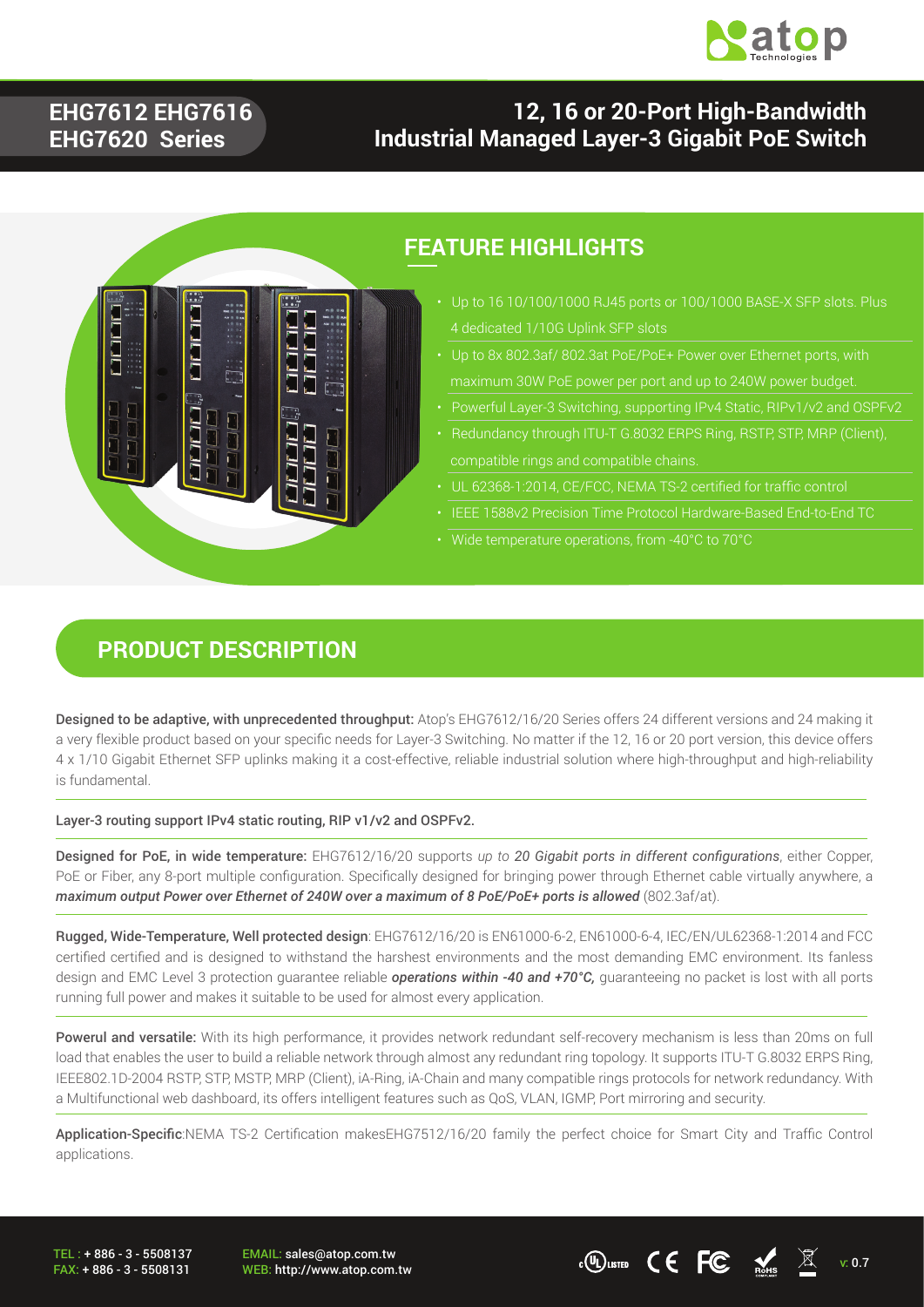

### **EHG7612 EHG7616 EHG7620 Series**

### **12, 16 or 20-Port High-Bandwidth Industrial Managed Layer-3 Gigabit PoE Switch**



### **FEATURE HIGHLIGHTS**

- Up to 16 10/100/1000 RJ45 ports or 100/1000 BASE-X SFP slots. Plus
- 
- Powerful Layer-3 Switching, supporting IPv4 Static, RIPv1/v2 and OSPFv2
- 
- UL 62368-1:2014, CE/FCC, NEMA TS-2 certified for traffic control
- 
- Wide temperature operations, from -40°C to 70°C

#### **PRODUCT DESCRIPTION**

Designed to be adaptive, with unprecedented throughput: Atop's EHG7612/16/20 Series offers 24 different versions and 24 making it a very flexible product based on your specific needs for Layer-3 Switching. No matter if the 12, 16 or 20 port version, this device offers 4 x 1/10 Gigabit Ethernet SFP uplinks making it a cost-effective, reliable industrial solution where high-throughput and high-reliability is fundamental.

Layer-3 routing support IPv4 static routing, RIP v1/v2 and OSPFv2.

Designed for PoE, in wide temperature: EHG7612/16/20 supports *up to 20 Gigabit ports in different configurations*, either Copper, PoE or Fiber, any 8-port multiple configuration. Specifically designed for bringing power through Ethernet cable virtually anywhere, a maximum output Power over Ethernet of 240W over a maximum of 8 PoE/PoE+ ports is allowed (802.3af/at).

Rugged, Wide-Temperature, Well protected design: EHG7612/16/20 is EN61000-6-2, EN61000-6-4, IEC/EN/UL62368-1:2014 and FCC certified certified and is designed to withstand the harshest environments and the most demanding EMC environment. Its fanless design and EMC Level 3 protection guarantee reliable *operations within -40 and +70°C,* guaranteeing no packet is lost with all ports running full power and makes it suitable to be used for almost every application.

Powerul and versatile: With its high performance, it provides network redundant self-recovery mechanism is less than 20ms on full load that enables the user to build a reliable network through almost any redundant ring topology. It supports ITU-T G.8032 ERPS Ring, IEEE802.1D-2004 RSTP, STP, MSTP, MRP (Client), iA-Ring, iA-Chain and many compatible rings protocols for network redundancy. With a Multifunctional web dashboard, its offers intelligent features such as QoS, VLAN, IGMP, Port mirroring and security.

Application-Specific:NEMA TS-2 Certification makesEHG7512/16/20 family the perfect choice for Smart City and Traffic Control applications.

TEL : + 886 - 3 - 5508137 FAX: + 886 - 3 - 5508131 EMAIL: sales@atop.com.tw

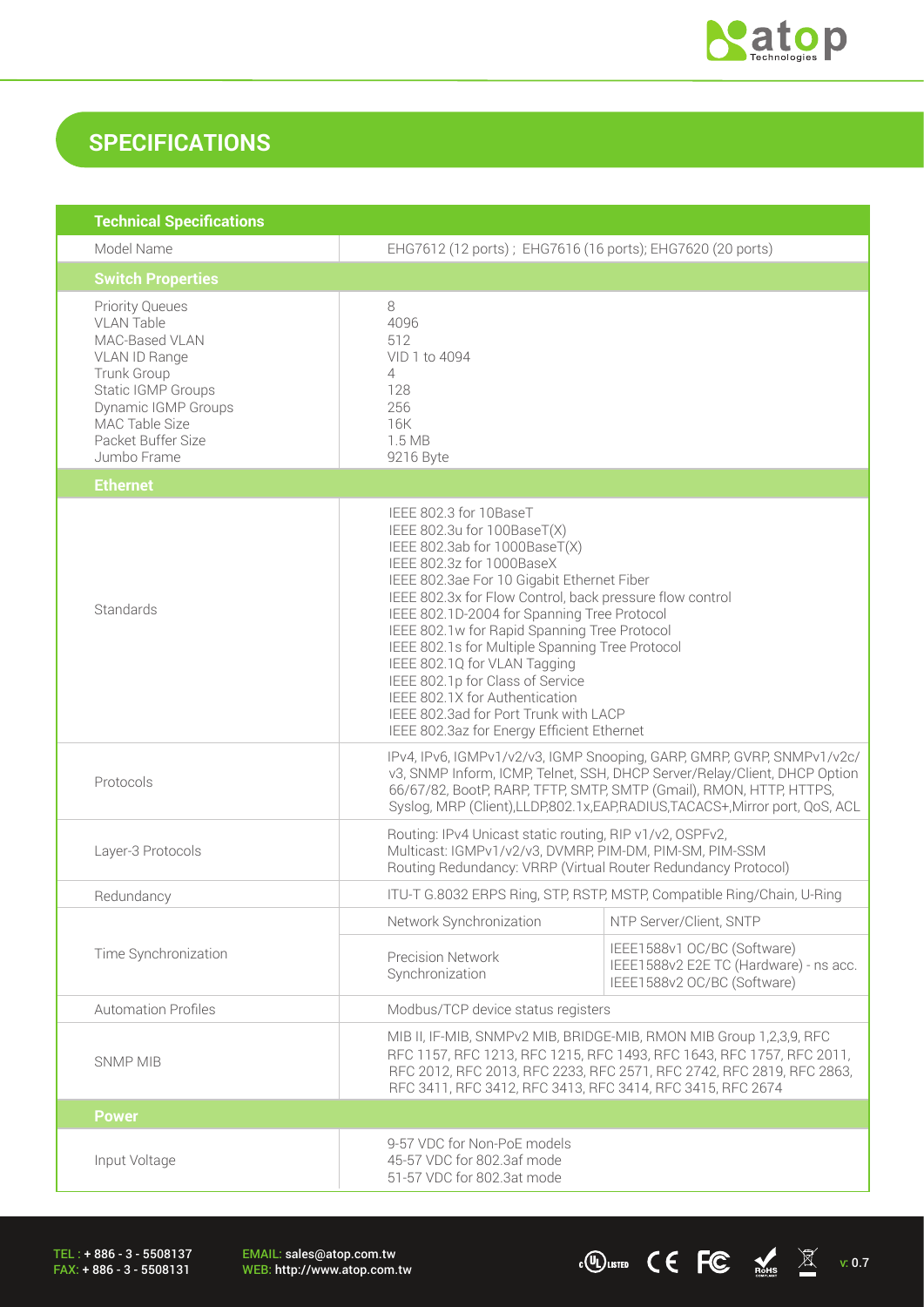

 $\overline{C}$  (U) LISTED  $\overline{C}$   $\overline{C}$   $\overline{M}$  v: 0.7

## **SPECIFICATIONS**

| <b>Technical Specifications</b>                                                                                                                                                                          |                                                                                                                                                                                                                                                                                                                                                                                                                                                                                                                                                                              |                                                                                                      |  |
|----------------------------------------------------------------------------------------------------------------------------------------------------------------------------------------------------------|------------------------------------------------------------------------------------------------------------------------------------------------------------------------------------------------------------------------------------------------------------------------------------------------------------------------------------------------------------------------------------------------------------------------------------------------------------------------------------------------------------------------------------------------------------------------------|------------------------------------------------------------------------------------------------------|--|
| Model Name                                                                                                                                                                                               | EHG7612 (12 ports); EHG7616 (16 ports); EHG7620 (20 ports)                                                                                                                                                                                                                                                                                                                                                                                                                                                                                                                   |                                                                                                      |  |
| <b>Switch Properties</b>                                                                                                                                                                                 |                                                                                                                                                                                                                                                                                                                                                                                                                                                                                                                                                                              |                                                                                                      |  |
| <b>Priority Queues</b><br><b>VLAN Table</b><br>MAC-Based VLAN<br>VLAN ID Range<br>Trunk Group<br><b>Static IGMP Groups</b><br>Dynamic IGMP Groups<br>MAC Table Size<br>Packet Buffer Size<br>Jumbo Frame | 8<br>4096<br>512<br>VID 1 to 4094<br>4<br>128<br>256<br>16K<br>1.5 MB<br>9216 Byte                                                                                                                                                                                                                                                                                                                                                                                                                                                                                           |                                                                                                      |  |
| <b>Ethernet</b>                                                                                                                                                                                          |                                                                                                                                                                                                                                                                                                                                                                                                                                                                                                                                                                              |                                                                                                      |  |
| Standards                                                                                                                                                                                                | IEEE 802.3 for 10BaseT<br>IEEE 802.3u for 100BaseT(X)<br>IEEE 802.3ab for 1000BaseT(X)<br>IEEE 802.3z for 1000BaseX<br>IEEE 802.3ae For 10 Gigabit Ethernet Fiber<br>IEEE 802.3x for Flow Control, back pressure flow control<br>IEEE 802.1D-2004 for Spanning Tree Protocol<br>IEEE 802.1w for Rapid Spanning Tree Protocol<br>IEEE 802.1s for Multiple Spanning Tree Protocol<br>IEEE 802.1Q for VLAN Tagging<br>IEEE 802.1p for Class of Service<br>IEEE 802.1X for Authentication<br>IEEE 802.3ad for Port Trunk with LACP<br>IEEE 802.3az for Energy Efficient Ethernet |                                                                                                      |  |
| Protocols                                                                                                                                                                                                | IPv4, IPv6, IGMPv1/v2/v3, IGMP Snooping, GARP, GMRP, GVRP, SNMPv1/v2c/<br>v3, SNMP Inform, ICMP, Telnet, SSH, DHCP Server/Relay/Client, DHCP Option<br>66/67/82, BootP, RARP, TFTP, SMTP, SMTP (Gmail), RMON, HTTP, HTTPS,<br>Syslog, MRP (Client), LLDP, 802.1x, EAP, RADIUS, TACACS+, Mirror port, QoS, ACL                                                                                                                                                                                                                                                                |                                                                                                      |  |
| Layer-3 Protocols                                                                                                                                                                                        | Routing: IPv4 Unicast static routing, RIP v1/v2, OSPFv2,<br>Multicast: IGMPv1/v2/v3, DVMRP, PIM-DM, PIM-SM, PIM-SSM<br>Routing Redundancy: VRRP (Virtual Router Redundancy Protocol)                                                                                                                                                                                                                                                                                                                                                                                         |                                                                                                      |  |
| Redundancy                                                                                                                                                                                               |                                                                                                                                                                                                                                                                                                                                                                                                                                                                                                                                                                              | ITU-T G.8032 ERPS Ring, STP, RSTP, MSTP, Compatible Ring/Chain, U-Ring                               |  |
| Time Synchronization                                                                                                                                                                                     | Network Synchronization                                                                                                                                                                                                                                                                                                                                                                                                                                                                                                                                                      | NTP Server/Client, SNTP                                                                              |  |
|                                                                                                                                                                                                          | <b>Precision Network</b><br>Synchronization                                                                                                                                                                                                                                                                                                                                                                                                                                                                                                                                  | IEEE1588v1 OC/BC (Software)<br>IEEE1588v2 E2E TC (Hardware) - ns acc.<br>IEEE1588v2 OC/BC (Software) |  |
| <b>Automation Profiles</b>                                                                                                                                                                               | Modbus/TCP device status registers                                                                                                                                                                                                                                                                                                                                                                                                                                                                                                                                           |                                                                                                      |  |
| <b>SNMP MIB</b>                                                                                                                                                                                          | MIB II, IF-MIB, SNMPv2 MIB, BRIDGE-MIB, RMON MIB Group 1,2,3,9, RFC<br>RFC 1157, RFC 1213, RFC 1215, RFC 1493, RFC 1643, RFC 1757, RFC 2011,<br>RFC 2012, RFC 2013, RFC 2233, RFC 2571, RFC 2742, RFC 2819, RFC 2863,<br>RFC 3411, RFC 3412, RFC 3413, RFC 3414, RFC 3415, RFC 2674                                                                                                                                                                                                                                                                                          |                                                                                                      |  |
| <b>Power</b>                                                                                                                                                                                             |                                                                                                                                                                                                                                                                                                                                                                                                                                                                                                                                                                              |                                                                                                      |  |
| Input Voltage                                                                                                                                                                                            | 9-57 VDC for Non-PoE models<br>45-57 VDC for 802.3af mode<br>51-57 VDC for 802.3at mode                                                                                                                                                                                                                                                                                                                                                                                                                                                                                      |                                                                                                      |  |

TEL : + 886 - 3 - 5508137 FAX: + 886 - 3 - 5508131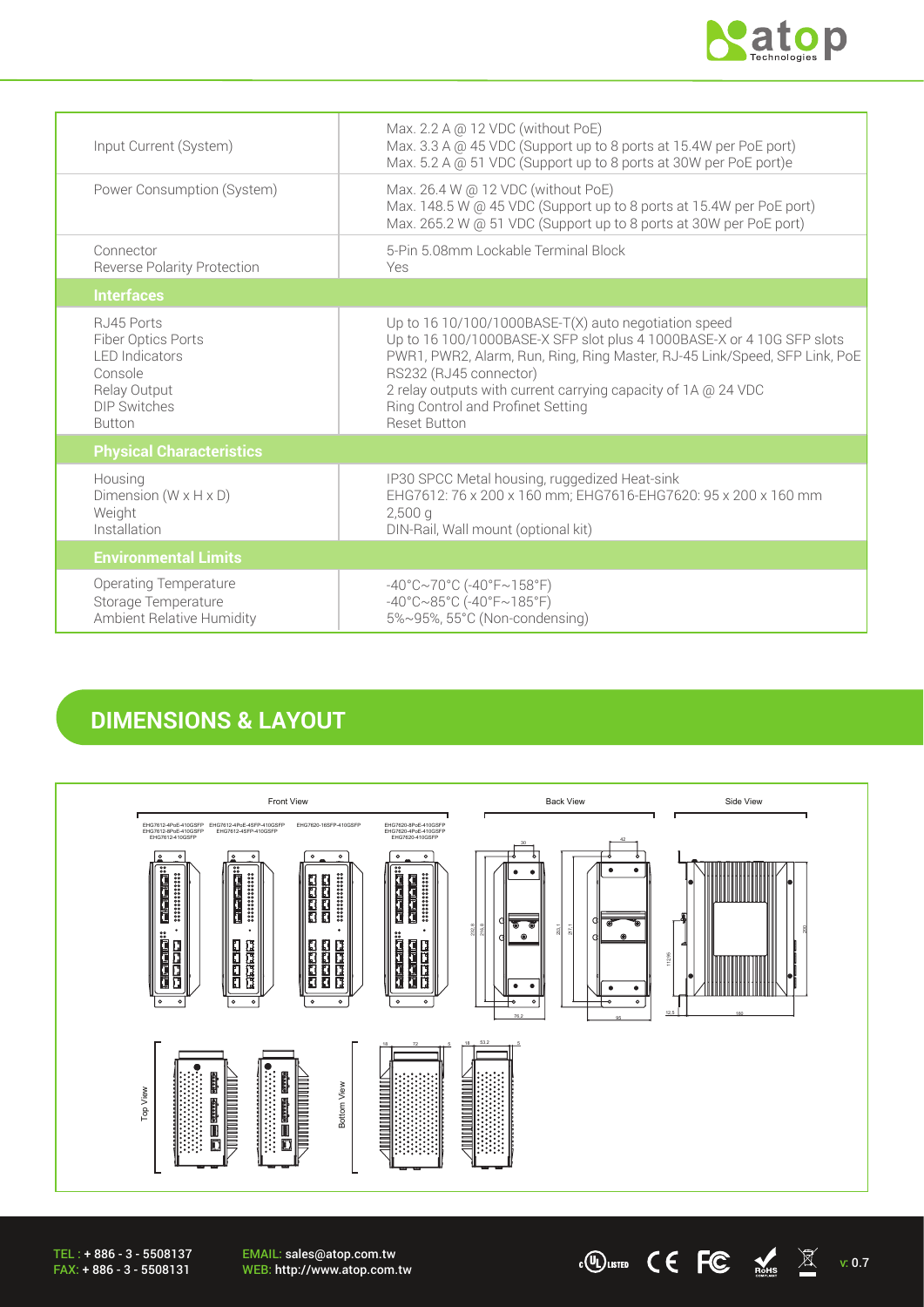

 $\cdot$  (U) LISTED  $\qquad \qquad \bullet$  FC  $\qquad \bullet$  Rests  $\qquad \qquad \mathbb{X}$  v: 0.7

| Input Current (System)                                                                                                        | Max. 2.2 A @ 12 VDC (without PoE)<br>Max. 3.3 A @ 45 VDC (Support up to 8 ports at 15.4W per PoE port)<br>Max. 5.2 A @ 51 VDC (Support up to 8 ports at 30W per PoE port)e                                                                                                                                                                                           |
|-------------------------------------------------------------------------------------------------------------------------------|----------------------------------------------------------------------------------------------------------------------------------------------------------------------------------------------------------------------------------------------------------------------------------------------------------------------------------------------------------------------|
| Power Consumption (System)                                                                                                    | Max. 26.4 W @ 12 VDC (without PoE)<br>Max. 148.5 W @ 45 VDC (Support up to 8 ports at 15.4W per PoE port)<br>Max. 265.2 W @ 51 VDC (Support up to 8 ports at 30W per PoE port)                                                                                                                                                                                       |
| Connector<br><b>Reverse Polarity Protection</b>                                                                               | 5-Pin 5.08mm Lockable Terminal Block<br>Yes                                                                                                                                                                                                                                                                                                                          |
| <b>Interfaces</b>                                                                                                             |                                                                                                                                                                                                                                                                                                                                                                      |
| RJ45 Ports<br>Fiber Optics Ports<br><b>I FD Indicators</b><br>Console<br>Relay Output<br><b>DIP Switches</b><br><b>Button</b> | Up to $1610/100/1000$ BASE-T(X) auto negotiation speed<br>Up to 16 100/1000BASE-X SFP slot plus 4 1000BASE-X or 4 10G SFP slots<br>PWR1, PWR2, Alarm, Run, Ring, Ring Master, RJ-45 Link/Speed, SFP Link, PoE<br>RS232 (RJ45 connector)<br>2 relay outputs with current carrying capacity of 1A @ 24 VDC<br>Ring Control and Profinet Setting<br><b>Reset Button</b> |
| <b>Physical Characteristics</b>                                                                                               |                                                                                                                                                                                                                                                                                                                                                                      |
| Housing<br>Dimension ( $W \times H \times D$ )<br>Weight<br>Installation                                                      | IP30 SPCC Metal housing, ruggedized Heat-sink<br>EHG7612: 76 x 200 x 160 mm; EHG7616-EHG7620: 95 x 200 x 160 mm<br>$2,500$ a<br>DIN-Rail, Wall mount (optional kit)                                                                                                                                                                                                  |
| <b>Environmental Limits</b>                                                                                                   |                                                                                                                                                                                                                                                                                                                                                                      |
| <b>Operating Temperature</b><br>Storage Temperature<br>Ambient Relative Humidity                                              | $-40^{\circ}$ C $\sim$ 70°C (-40°F $\sim$ 158°F)<br>$-40^{\circ}$ C $\sim$ 85°C (-40°F $\sim$ 185°F)<br>5%~95%, 55°C (Non-condensing)                                                                                                                                                                                                                                |

### **DIMENSIONS & LAYOUT**



EMAIL: sales@atop.com.tw<br>WEB: http://www.atop.com.tw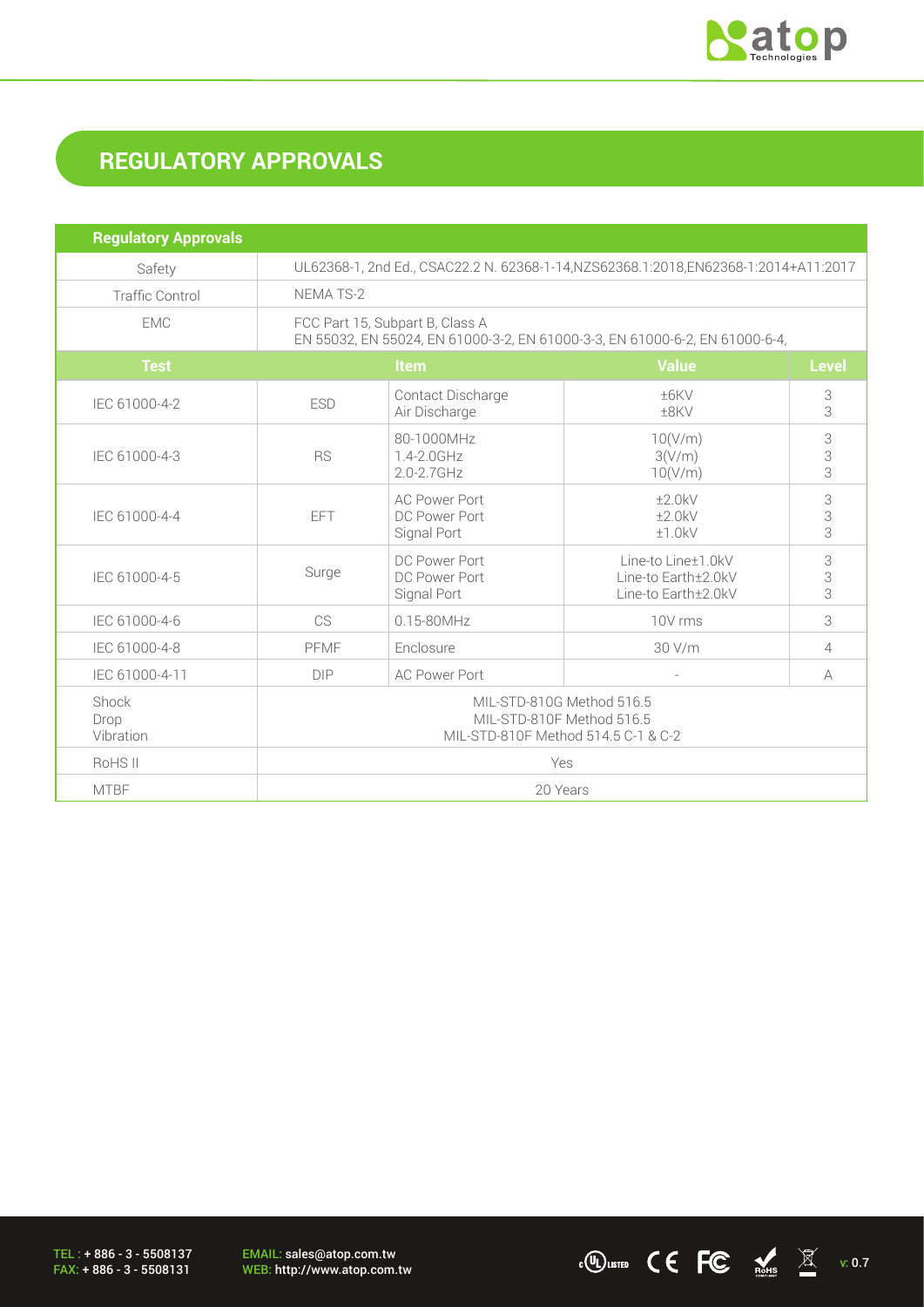

# **REGULATORY APPROVALS**

| <b>Regulatory Approvals</b> |                                                                                                                |                                                      |                                                                  |                 |
|-----------------------------|----------------------------------------------------------------------------------------------------------------|------------------------------------------------------|------------------------------------------------------------------|-----------------|
| Safety                      | UL62368-1, 2nd Ed., CSAC22.2 N. 62368-1-14, NZS62368.1:2018, EN62368-1:2014+A11:2017                           |                                                      |                                                                  |                 |
| <b>Traffic Control</b>      | <b>NEMATS-2</b>                                                                                                |                                                      |                                                                  |                 |
| <b>FMC</b>                  | FCC Part 15, Subpart B, Class A<br>EN 55032, EN 55024, EN 61000-3-2, EN 61000-3-3, EN 61000-6-2, EN 61000-6-4, |                                                      |                                                                  |                 |
| <b>Test</b>                 | <b>Item</b>                                                                                                    |                                                      | <b>Value</b>                                                     | <b>Level</b>    |
| IEC 61000-4-2               | <b>ESD</b>                                                                                                     | Contact Discharge<br>Air Discharge                   | ±6KV<br>±8KV                                                     | 3<br>3          |
| IEC 61000-4-3               | <b>RS</b>                                                                                                      | 80-1000MHz<br>1.4-2.0GHz<br>2.0-2.7GHz               | 10(V/m)<br>3(V/m)<br>10(V/m)                                     | 3<br>3<br>3     |
| IEC 61000-4-4               | EFT                                                                                                            | <b>AC Power Port</b><br>DC Power Port<br>Signal Port | ±2.0kV<br>±2.0kV<br>±1.0kV                                       | 3<br>3<br>3     |
| IEC 61000-4-5               | Surge                                                                                                          | DC Power Port<br>DC Power Port<br>Signal Port        | Line-to Line±1.0kV<br>Line-to Earth±2.0kV<br>Line-to Earth±2.0kV | $\Im$<br>3<br>3 |
| IEC 61000-4-6               | CS                                                                                                             | $0.15 - 80$ MHz                                      | 10V rms                                                          | 3               |
| IEC 61000-4-8               | PFMF                                                                                                           | Enclosure                                            | 30 V/m<br>$\overline{4}$                                         |                 |
| IEC 61000-4-11              | <b>DIP</b>                                                                                                     | <b>AC Power Port</b>                                 | ÷,                                                               | A               |
| Shock<br>Drop<br>Vibration  | MIL-STD-810G Method 516.5<br>MIL-STD-810F Method 516.5<br>MIL-STD-810F Method 514.5 C-1 & C-2                  |                                                      |                                                                  |                 |
| RoHS II                     | Yes                                                                                                            |                                                      |                                                                  |                 |
| <b>MTBF</b>                 | 20 Years                                                                                                       |                                                      |                                                                  |                 |

TEL : + 886 - 3 - 5508137 FAX: + 886 - 3 - 5508131

EMAIL: sales@atop.com.tw<br>WEB: http://www.atop.com.tw

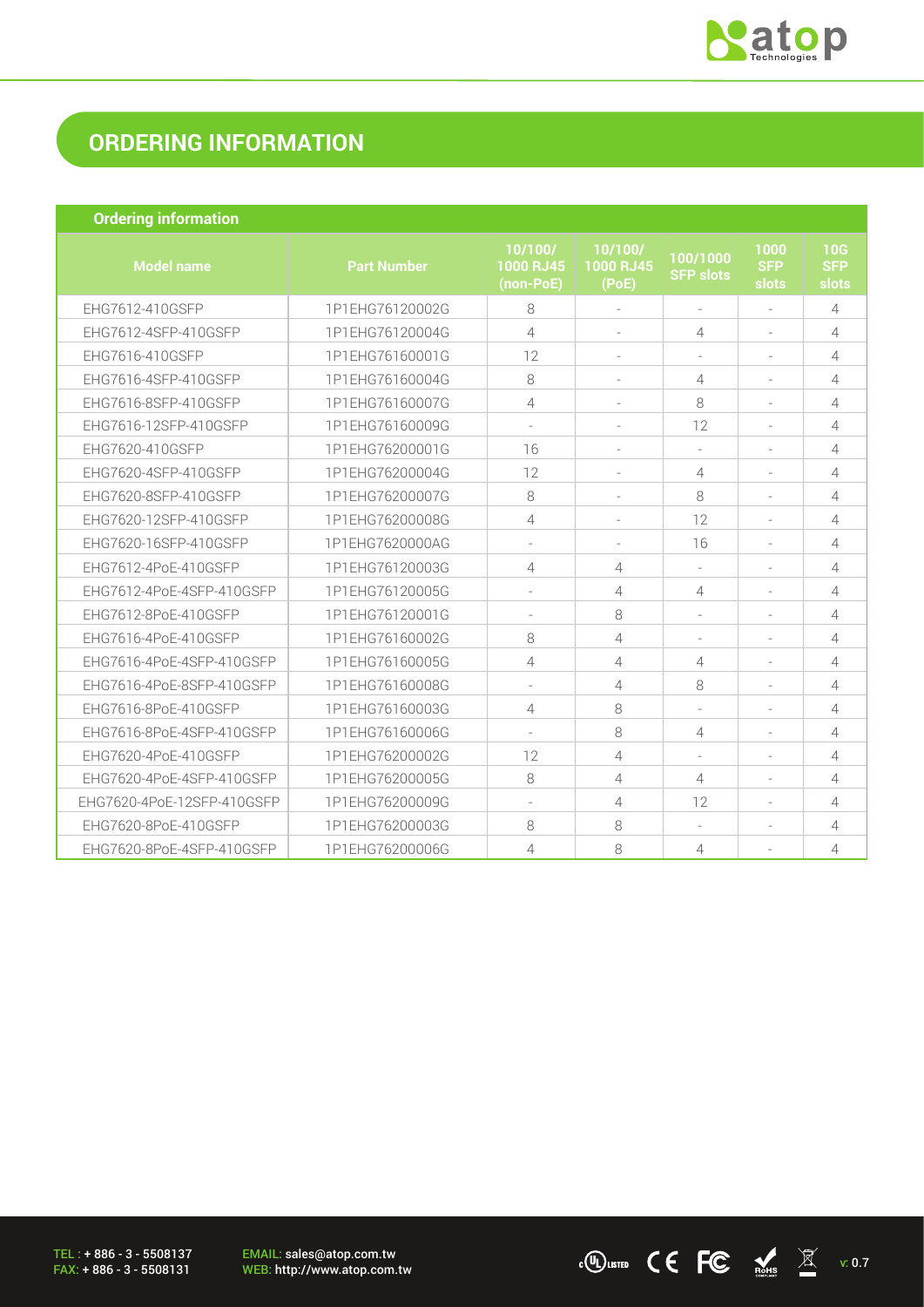

 $\cdot$  (U) LISTED C C FC  $\frac{1}{\log n}$   $\mathbb{R}$  v: 0.7

### **ORDERING INFORMATION**

| <b>Ordering information</b> |
|-----------------------------|
|                             |
|                             |

| <b>Model name</b>          | <b>Part Number</b> | 10/100/<br><b>1000 RJ45</b><br>(non-PoE) | 10/100/<br>1000 RJ45<br>(PoE) | 100/1000<br><b>SFP slots</b> | 1000<br><b>SFP</b><br>slots | 10G<br><b>SFP</b><br>slots |
|----------------------------|--------------------|------------------------------------------|-------------------------------|------------------------------|-----------------------------|----------------------------|
| EHG7612-410GSFP            | 1P1EHG76120002G    | 8                                        |                               | $\overline{\phantom{a}}$     |                             | 4                          |
| EHG7612-4SFP-410GSFP       | 1P1EHG76120004G    | 4                                        |                               | 4                            |                             | 4                          |
| EHG7616-410GSFP            | 1P1EHG76160001G    | 12                                       |                               |                              |                             | 4                          |
| EHG7616-4SFP-410GSFP       | 1P1EHG76160004G    | 8                                        |                               | 4                            |                             | 4                          |
| EHG7616-8SFP-410GSFP       | 1P1EHG76160007G    | 4                                        |                               | 8                            |                             | 4                          |
| EHG7616-12SFP-410GSFP      | 1P1EHG76160009G    |                                          |                               | 12                           |                             | 4                          |
| EHG7620-410GSFP            | 1P1EHG76200001G    | 16                                       |                               |                              |                             | 4                          |
| EHG7620-4SFP-410GSFP       | 1P1EHG76200004G    | 12                                       |                               | 4                            |                             | 4                          |
| EHG7620-8SFP-410GSFP       | 1P1EHG76200007G    | 8                                        |                               | 8                            |                             | 4                          |
| EHG7620-12SFP-410GSFP      | 1P1EHG76200008G    | $\overline{4}$                           |                               | 12                           |                             | 4                          |
| EHG7620-16SFP-410GSFP      | 1P1EHG7620000AG    |                                          |                               | 16                           |                             | 4                          |
| EHG7612-4PoE-410GSFP       | 1P1EHG76120003G    | 4                                        | 4                             |                              |                             | 4                          |
| EHG7612-4PoE-4SFP-410GSFP  | 1P1EHG76120005G    |                                          | 4                             | $\overline{4}$               |                             | 4                          |
| EHG7612-8PoE-410GSFP       | 1P1EHG76120001G    |                                          | 8                             |                              |                             | 4                          |
| EHG7616-4PoE-410GSFP       | 1P1EHG76160002G    | 8                                        | 4                             | $\overline{\phantom{a}}$     |                             | 4                          |
| EHG7616-4PoE-4SFP-410GSFP  | 1P1EHG76160005G    | 4                                        | 4                             | 4                            |                             | 4                          |
| EHG7616-4PoE-8SFP-410GSFP  | 1P1EHG76160008G    |                                          | 4                             | 8                            |                             | 4                          |
| EHG7616-8PoE-410GSFP       | 1P1EHG76160003G    | $\overline{4}$                           | 8                             |                              |                             | 4                          |
| EHG7616-8PoE-4SFP-410GSFP  | 1P1EHG76160006G    |                                          | 8                             | 4                            |                             | 4                          |
| EHG7620-4PoE-410GSFP       | 1P1EHG76200002G    | 12                                       | 4                             | $\overline{\phantom{a}}$     |                             | 4                          |
| EHG7620-4PoE-4SFP-410GSFP  | 1P1EHG76200005G    | 8                                        | 4                             | 4                            |                             | 4                          |
| EHG7620-4PoE-12SFP-410GSFP | 1P1EHG76200009G    |                                          | 4                             | 12                           |                             | 4                          |
| EHG7620-8PoE-410GSFP       | 1P1EHG76200003G    | 8                                        | 8                             |                              |                             | 4                          |
| EHG7620-8PoE-4SFP-410GSFP  | 1P1EHG76200006G    | 4                                        | 8                             | 4                            |                             | 4                          |

TEL : + 886 - 3 - 5508137 FAX: + 886 - 3 - 5508131

EMAIL: sales@atop.com.tw<br>WEB: http://www.atop.com.tw